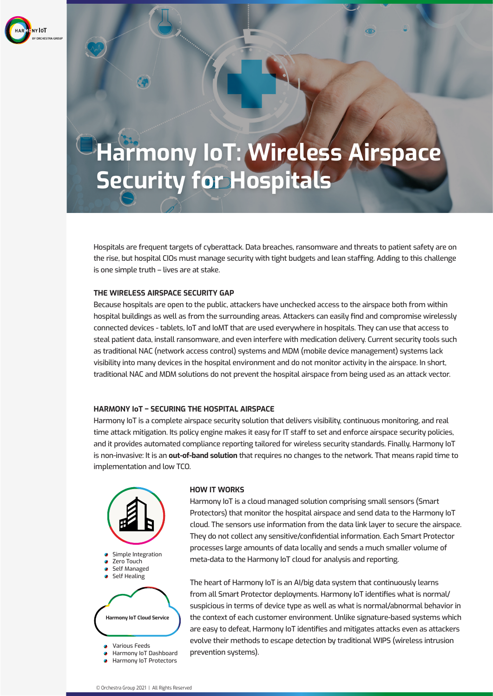

# **Harmony IoT: Wireless Airspace Security for Hospitals**

 $\circ$ 

Hospitals are frequent targets of cyberattack. Data breaches, ransomware and threats to patient safety are on the rise, but hospital CIOs must manage security with tight budgets and lean staffing. Adding to this challenge is one simple truth – lives are at stake.

### **THE WIRELESS AIRSPACE SECURITY GAP**

63

Because hospitals are open to the public, attackers have unchecked access to the airspace both from within hospital buildings as well as from the surrounding areas. Attackers can easily find and compromise wirelessly connected devices - tablets, IoT and IoMT that are used everywhere in hospitals. They can use that access to steal patient data, install ransomware, and even interfere with medication delivery. Current security tools such as traditional NAC (network access control) systems and MDM (mobile device management) systems lack visibility into many devices in the hospital environment and do not monitor activity in the airspace. In short, traditional NAC and MDM solutions do not prevent the hospital airspace from being used as an attack vector.

### **HARMONY IoT – SECURING THE HOSPITAL AIRSPACE**

Harmony IoT is a complete airspace security solution that delivers visibility, continuous monitoring, and real time attack mitigation. Its policy engine makes it easy for IT staff to set and enforce airspace security policies, and it provides automated compliance reporting tailored for wireless security standards. Finally, Harmony IoT is non-invasive: It is an **out-of-band solution** that requires no changes to the network. That means rapid time to implementation and low TCO.



#### **HOW IT WORKS**

Harmony IoT is a cloud managed solution comprising small sensors (Smart Protectors) that monitor the hospital airspace and send data to the Harmony IoT cloud. The sensors use information from the data link layer to secure the airspace. They do not collect any sensitive/confidential information. Each Smart Protector processes large amounts of data locally and sends a much smaller volume of meta-data to the Harmony IoT cloud for analysis and reporting.

The heart of Harmony IoT is an AI/big data system that continuously learns from all Smart Protector deployments. Harmony IoT identifies what is normal/ suspicious in terms of device type as well as what is normal/abnormal behavior in the context of each customer environment. Unlike signature-based systems which are easy to defeat, Harmony IoT identifies and mitigates attacks even as attackers evolve their methods to escape detection by traditional WIPS (wireless intrusion prevention systems).